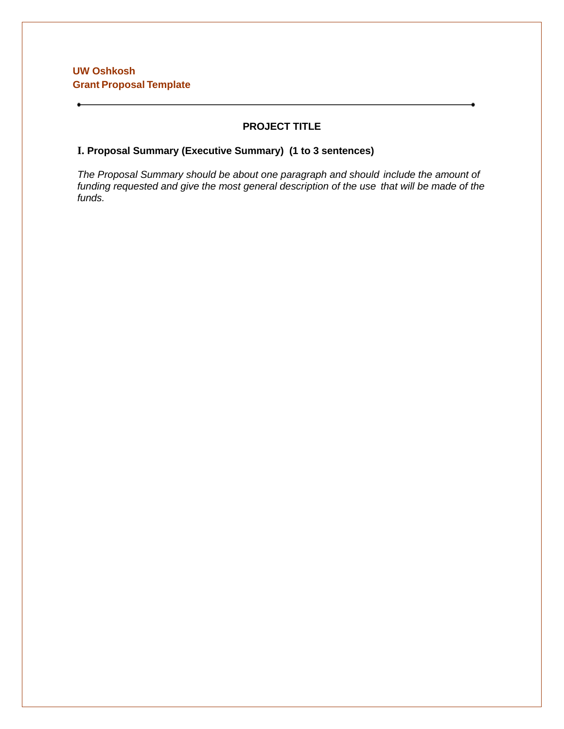## **UW Oshkosh Grant Proposal Template**

## **PROJECT TITLE**

## **I. Proposal Summary (Executive Summary) (1 to 3 sentences)**

*The Proposal Summary should be about one paragraph and should include the amount of funding requested and give the most general description of the use that will be made of the funds.*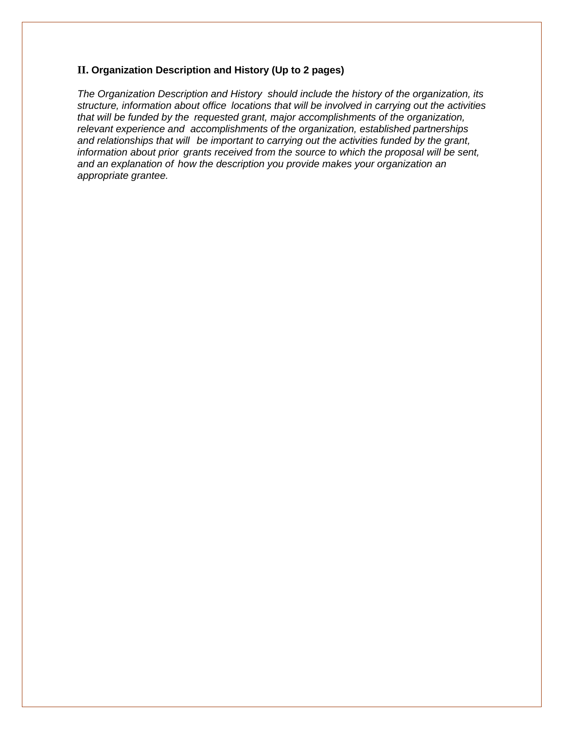#### **II. Organization Description and History (Up to 2 pages)**

*The Organization Description and History should include the history of the organization, its structure, information about office locations that will be involved in carrying out the activities that will be funded by the requested grant, major accomplishments of the organization, relevant experience and accomplishments of the organization, established partnerships and relationships that will be important to carrying out the activities funded by the grant, information about prior grants received from the source to which the proposal will be sent, and an explanation of how the description you provide makes your organization an appropriate grantee.*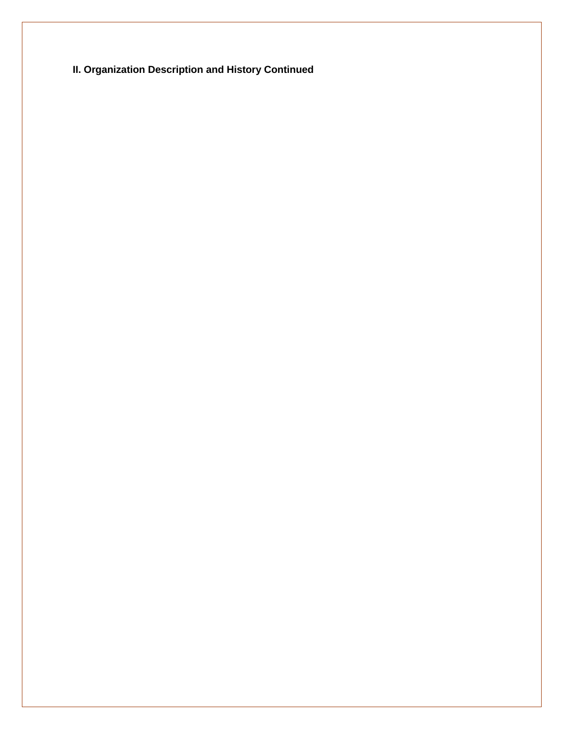**II. Organization Description and History Continued**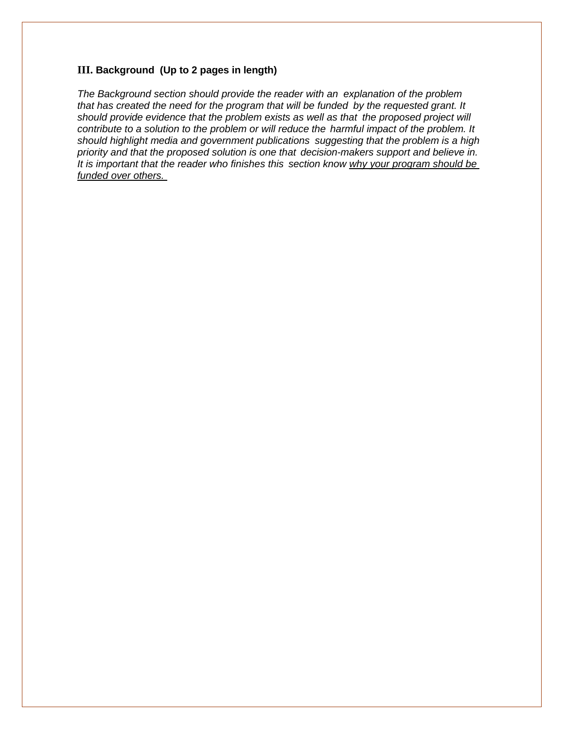#### **III. Background (Up to 2 pages in length)**

*The Background section should provide the reader with an explanation of the problem that has created the need for the program that will be funded by the requested grant. It should provide evidence that the problem exists as well as that the proposed project will contribute to a solution to the problem or will reduce the harmful impact of the problem. It should highlight media and government publications suggesting that the problem is a high priority and that the proposed solution is one that decision-makers support and believe in. It is important that the reader who finishes this section know why your program should be funded over others.*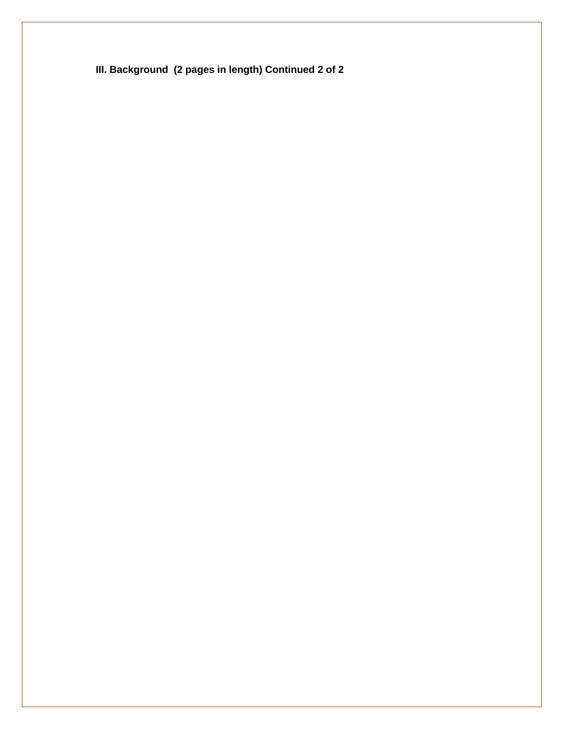**III. Background (2 pages in length) Continued 2 of 2**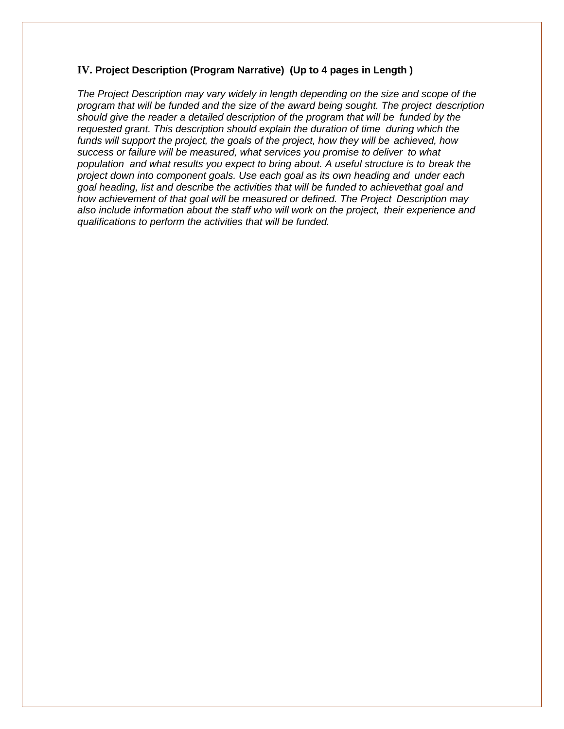### **IV. Project Description (Program Narrative) (Up to 4 pages in Length )**

*The Project Description may vary widely in length depending on the size and scope of the program that will be funded and the size of the award being sought. The project description should give the reader a detailed description of the program that will be funded by the requested grant. This description should explain the duration of time during which the funds will support the project, the goals of the project, how they will be achieved, how success or failure will be measured, what services you promise to deliver to what population and what results you expect to bring about. A useful structure is to break the project down into component goals. Use each goal as its own heading and under each goal heading, list and describe the activities that will be funded to achievethat goal and how achievement of that goal will be measured or defined. The Project Description may also include information about the staff who will work on the project, their experience and qualifications to perform the activities that will be funded.*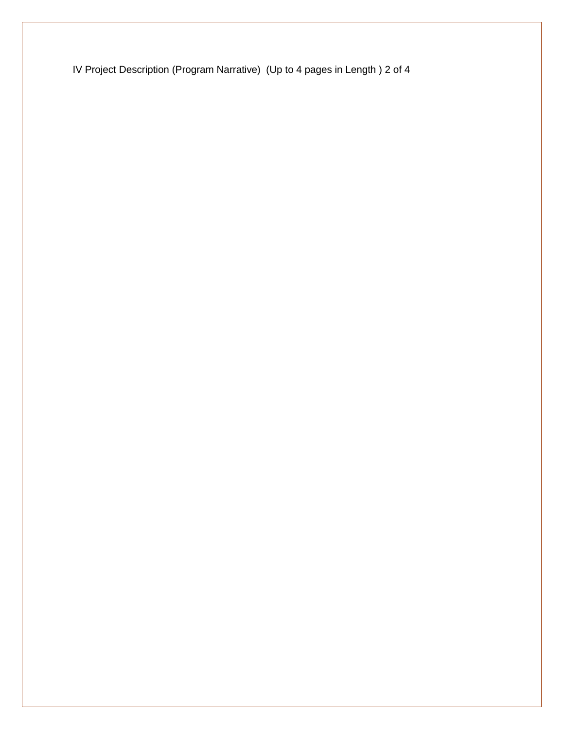IV Project Description (Program Narrative) (Up to 4 pages in Length ) 2 of 4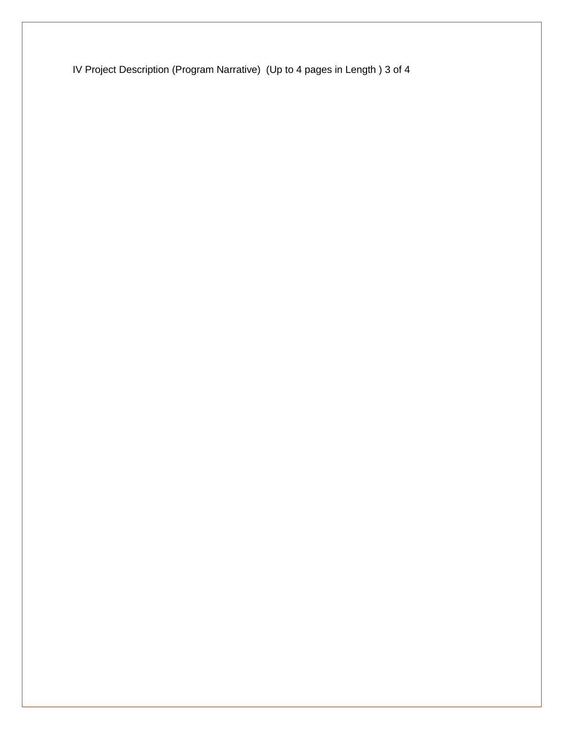IV Project Description (Program Narrative) (Up to 4 pages in Length ) 3 of 4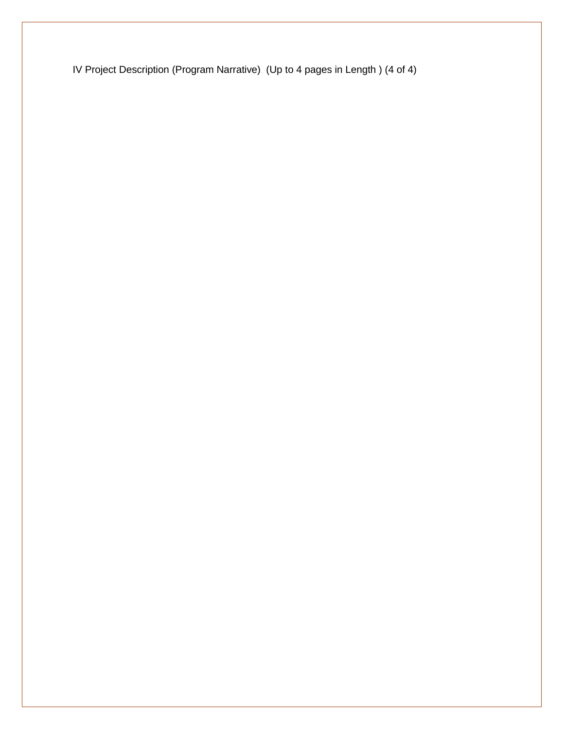IV Project Description (Program Narrative) (Up to 4 pages in Length ) (4 of 4)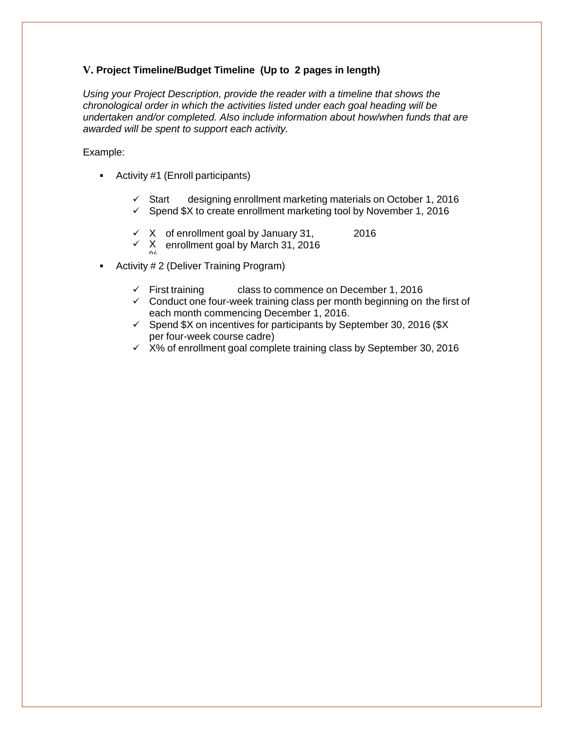## **V. Project Timeline/Budget Timeline (Up to 2 pages in length)**

*Using your Project Description, provide the reader with a timeline that shows the chronological order in which the activities listed under each goal heading will be undertaken and/or completed. Also include information about how/when funds that are awarded will be spent to support each activity.*

#### Example:

- Activity #1 (Enroll participants)
	- $\checkmark$  Start designing enrollment marketing materials on October 1, 2016
	- $\checkmark$  Spend \$X to create enrollment marketing tool by November 1, 2016
	- $\times$  X of enrollment goal by January 31, 2016
	- $\times$  X enrollment goal by March 31, 2016
- $^{\circ}$ **Activity # 2 (Deliver Training Program)** 
	- $\checkmark$  First training class to commence on December 1, 2016
	- $\checkmark$  Conduct one four-week training class per month beginning on the first of each month commencing December 1, 2016.
	- $\checkmark$  Spend \$X on incentives for participants by September 30, 2016 (\$X) per four-week course cadre)
	- $\times$  X% of enrollment goal complete training class by September 30, 2016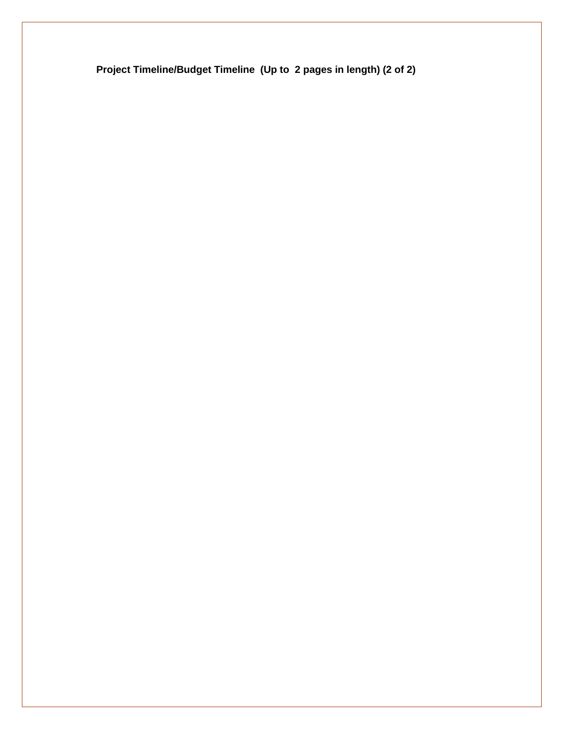**Project Timeline/Budget Timeline (Up to 2 pages in length) (2 of 2)**